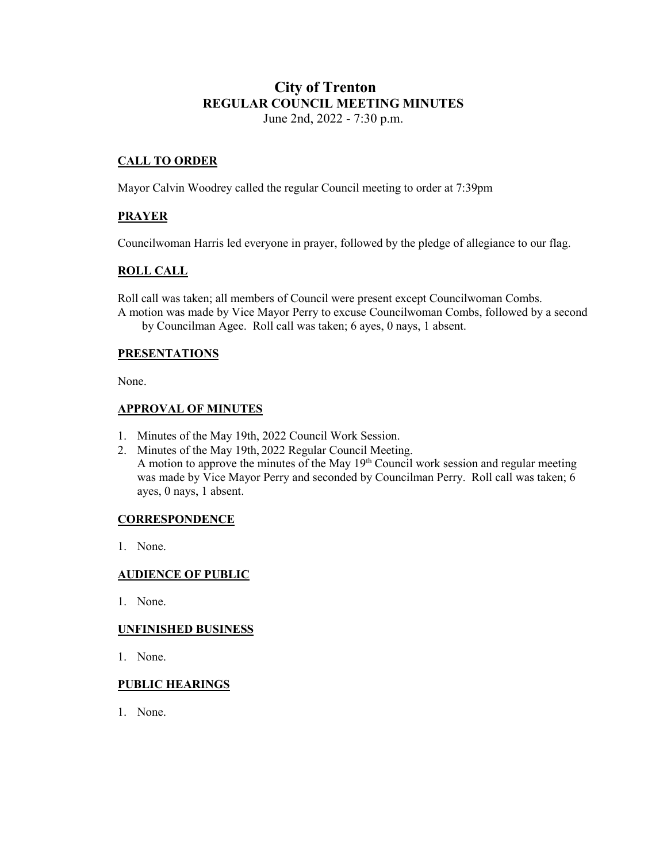# **City of Trenton REGULAR COUNCIL MEETING MINUTES** June 2nd, 2022 - 7:30 p.m.

# **CALL TO ORDER**

Mayor Calvin Woodrey called the regular Council meeting to order at 7:39pm

# **PRAYER**

Councilwoman Harris led everyone in prayer, followed by the pledge of allegiance to our flag.

# **ROLL CALL**

Roll call was taken; all members of Council were present except Councilwoman Combs. A motion was made by Vice Mayor Perry to excuse Councilwoman Combs, followed by a second by Councilman Agee. Roll call was taken; 6 ayes, 0 nays, 1 absent.

#### **PRESENTATIONS**

None.

## **APPROVAL OF MINUTES**

- 1. Minutes of the May 19th, 2022 Council Work Session.
- 2. Minutes of the May 19th, 2022 Regular Council Meeting. A motion to approve the minutes of the May  $19<sup>th</sup>$  Council work session and regular meeting was made by Vice Mayor Perry and seconded by Councilman Perry. Roll call was taken;  $\overline{6}$ ayes, 0 nays, 1 absent.

## **CORRESPONDENCE**

1. None.

## **AUDIENCE OF PUBLIC**

1. None.

#### **UNFINISHED BUSINESS**

1. None.

## **PUBLIC HEARINGS**

1. None.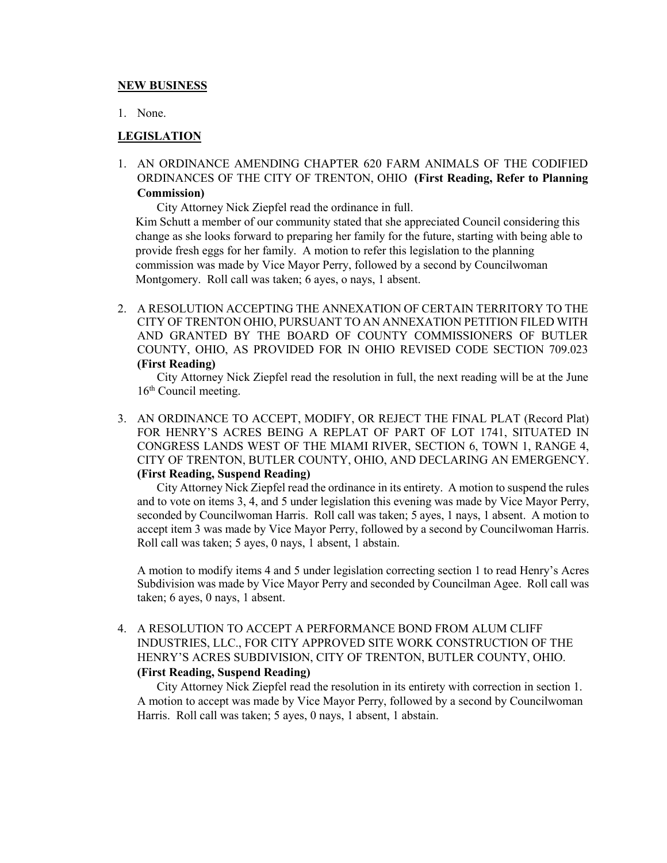#### **NEW BUSINESS**

1. None.

# **LEGISLATION**

1. AN ORDINANCE AMENDING CHAPTER 620 FARM ANIMALS OF THE CODIFIED ORDINANCES OF THE CITY OF TRENTON, OHIO **(First Reading, Refer to Planning Commission)**

City Attorney Nick Ziepfel read the ordinance in full.

 Kim Schutt a member of our community stated that she appreciated Council considering this change as she looks forward to preparing her family for the future, starting with being able to provide fresh eggs for her family. A motion to refer this legislation to the planning commission was made by Vice Mayor Perry, followed by a second by Councilwoman Montgomery. Roll call was taken; 6 ayes, o nays, 1 absent.

2. A RESOLUTION ACCEPTING THE ANNEXATION OF CERTAIN TERRITORY TO THE CITY OF TRENTON OHIO, PURSUANT TO AN ANNEXATION PETITION FILED WITH AND GRANTED BY THE BOARD OF COUNTY COMMISSIONERS OF BUTLER COUNTY, OHIO, AS PROVIDED FOR IN OHIO REVISED CODE SECTION 709.023 **(First Reading)**

City Attorney Nick Ziepfel read the resolution in full, the next reading will be at the June 16<sup>th</sup> Council meeting.

3. AN ORDINANCE TO ACCEPT, MODIFY, OR REJECT THE FINAL PLAT (Record Plat) FOR HENRY'S ACRES BEING A REPLAT OF PART OF LOT 1741, SITUATED IN CONGRESS LANDS WEST OF THE MIAMI RIVER, SECTION 6, TOWN 1, RANGE 4, CITY OF TRENTON, BUTLER COUNTY, OHIO, AND DECLARING AN EMERGENCY. **(First Reading, Suspend Reading)**

City Attorney Nick Ziepfel read the ordinance in its entirety. A motion to suspend the rules and to vote on items 3, 4, and 5 under legislation this evening was made by Vice Mayor Perry, seconded by Councilwoman Harris. Roll call was taken; 5 ayes, 1 nays, 1 absent. A motion to accept item 3 was made by Vice Mayor Perry, followed by a second by Councilwoman Harris. Roll call was taken; 5 ayes, 0 nays, 1 absent, 1 abstain.

A motion to modify items 4 and 5 under legislation correcting section 1 to read Henry's Acres Subdivision was made by Vice Mayor Perry and seconded by Councilman Agee. Roll call was taken; 6 ayes, 0 nays, 1 absent.

4. A RESOLUTION TO ACCEPT A PERFORMANCE BOND FROM ALUM CLIFF INDUSTRIES, LLC., FOR CITY APPROVED SITE WORK CONSTRUCTION OF THE HENRY'S ACRES SUBDIVISION, CITY OF TRENTON, BUTLER COUNTY, OHIO. **(First Reading, Suspend Reading)**

City Attorney Nick Ziepfel read the resolution in its entirety with correction in section 1. A motion to accept was made by Vice Mayor Perry, followed by a second by Councilwoman Harris. Roll call was taken; 5 ayes, 0 nays, 1 absent, 1 abstain.